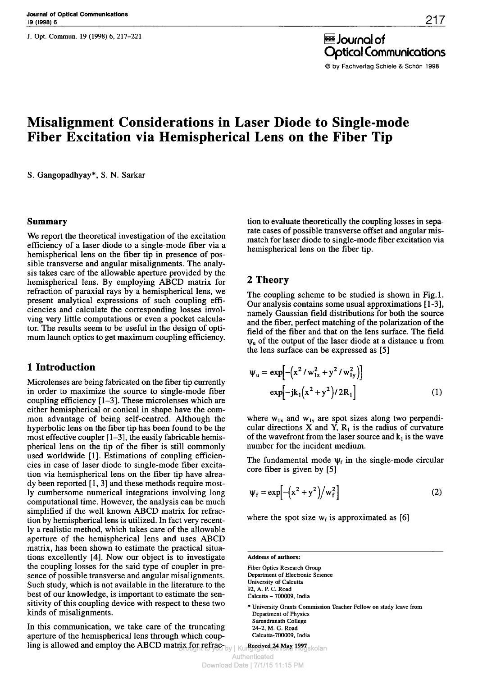**J. Opt. Commun. 19 (1998) 6, 217-221** 

Journal of Optical Communications © by Fachverlag Schiele & Schön 1998

# **Misalignment Considerations in Laser Diode to Single-mode Fiber Excitation via Hemispherical Lens on the Fiber Tip**

S. Gangopadhyay\*, S. N. Sarkar

#### **Summary**

We report the theoretical investigation of the excitation efficiency of a laser diode to a singlemode fiber via a hemispherical lens on the fiber tip in presence of possible transverse and angular misalignments. The analysis takes care of the allowable aperture provided by the hemispherical lens. By employing ABCD matrix for refraction of paraxial rays by a hemispherical lens, we present analytical expressions of such coupling efficiencies and calculate the corresponding losses involving very little computations or even a pocket calculator. The results seem to be useful in the design of optimum launch optics to get maximum coupling efficiency.

## **1 Introduction**

Microlenses are being fabricated on the fiber tip currently in order to maximize the source to singlemode fiber coupling efficiency [1-3]. These microlenses which are either hemispherical or conical in shape have the common advantage of being self-centred. Although the hyperbolic lens on the fiber tip has been found to be the most effective coupler [1–3], the easily fabricable hemispherical lens on the tip of the fiber is still commonly used worldwide [1]. Estimations of coupling efficiencies in case of laser diode to singlemode fiber excitation via hemispherical lens on the fiber tip have already been reported [1,3] and these methods require mostly cumbersome numerical integrations involving long computational time. However, the analysis can be much simplified if the well known ABCD matrix for refraction by hemispherical lens is utilized. In fact very recently a realistic method, which takes care of the allowable aperture of the hemispherical lens and uses ABCD matrix, has been shown to estimate the practical situations excellently [4]. Now our object is to investigate the coupling losses for the said type of coupler in presence of possible transverse and angular misalignments. Such study, which is not available in the literature to the best of our knowledge, is important to estimate the sensitivity of this coupling device with respect to these two kinds of misalignments.

In this communication, we take care of the truncating aperture of the hemispherical lens through which coupling is allowed and employ the ABCD matrix for refrac-<br>**Received 24 May 1997** Brown to you be the kinemator of the Angliga Tekniska Högskolan

tion to evaluate theoretically the coupling losses in separate cases of possible transverse offset and angular mismatch for laser diode to single-mode fiber excitation via hemispherical lens on the fiber tip.

# **2 Theory**

The coupling scheme to be studied is shown in Fig.l. Our analysis contains some usual approximations [13], namely Gaussian field distributions for both the source and the fiber, perfect matching of the polarization of the field of the fiber and that on the lens surface. The field  $\Psi_{\nu}$  of the output of the laser diode at a distance u from the lens surface can be expressed as [5]

$$
\Psi_{u} = \exp[-(x^{2}/w_{1x}^{2} + y^{2}/w_{1y}^{2})]
$$
  
\n
$$
\exp[-jk_{1}(x^{2} + y^{2})/2R_{1}]
$$
 (1)

where  $w_{1x}$  and  $w_{1y}$  are spot sizes along two perpendicular directions X and Y, *R<sup>t</sup>* is the radius of curvature of the wavefront from the laser source and  $k_1$  is the wave number for the incident medium.

The fundamental mode  $\psi_f$  in the single-mode circular core fiber is given by [5]

$$
\Psi_{\mathbf{f}} = \exp\left[-\left(\mathbf{x}^2 + \mathbf{y}^2\right)\middle/\mathbf{w}_{\mathbf{f}}^2\right]
$$
 (2)

where the spot size  $w_f$  is approximated as [6]

\* University Grants Commission Teacher Fellow on study leave from Department of Physics Surendranath College 24-2, M. G. Road Calcutta-700009, India

Authenticated

**Address of authors:**

Fiber Optics Research Group Department of Electronic Science University of Calcutta 92, A. P. C. Road Calcutta - 700009, India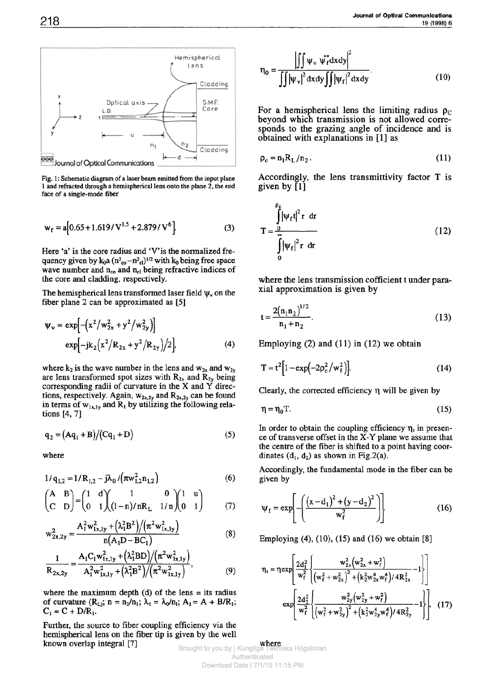

Fig. 1: Schematic diagram of a laser beam emitted from the input plane 1 and refracted through a hemispherical lens onto the plane 2, the end face of a single-mode fiber

$$
w_f = a[0.65 + 1.619/V^{1.5} + 2.879/V^6].
$$
 (3)

Here 'a' is the core radius and 'V' is the normalized frequency given by  $k_0 a (n^2<sub>co</sub> - n<sup>2</sup><sub>cl</sub>)^{1/2}$  with  $k_0$  being free space wave number and  $n_{co}$  and  $n_{cl}$  being refractive indices of the core and cladding, respectively.

The hemispherical lens transformed laser field  $\psi$ , on the fiber plane 2 can be approximated as [5]

$$
\Psi_{\mathbf{v}} = \exp\left[-\left(\mathbf{x}^2/\mathbf{w}_{2x}^2 + \mathbf{y}^2/\mathbf{w}_{2y}^2\right)\right]
$$
  
\n
$$
\exp\left[-jk_2\left(\mathbf{x}^2/\mathbf{R}_{2x} + \mathbf{y}^2/\mathbf{R}_{2y}\right)/2\right],
$$
\n(4)

where  $k_2$  is the wave number in the lens and  $w_{2x}$  and  $w_{2y}$ are lens transformed spot sizes with  $R_{2x}$  and  $R_{2y}$  being corresponding radii of curvature in the X and *¾* directions, respectively. Again,  $w_{2x,2y}$  and  $R_{2x,2y}$  can be found in terms of  $w_{1x,1y}$  and  $R_1$  by utilizing the following relations [4, 7]

$$
q_2 = (Aq_1 + B)/(Cq_1 + D)
$$
 (5)

where

$$
1/q_{1,2} = 1/R_{1,2} - j\lambda_0 / (\pi w_{1,2}^2 n_{1,2})
$$
 (6)

$$
\begin{pmatrix} A & B \\ C & D \end{pmatrix} = \begin{pmatrix} 1 & d \\ 0 & 1 \end{pmatrix} \begin{pmatrix} 1 & 0 \\ (1-n)/nR_L & 1/n \end{pmatrix} \begin{pmatrix} 1 & u \\ 0 & 1 \end{pmatrix}
$$
 (7)

$$
w_{2x,2y}^{2} = \frac{A_{1}^{2}w_{1x,1y}^{2} + (\lambda_{1}^{2}B^{2})/(\pi^{2}w_{1x,1y}^{2})}{n(A_{1}D - BC_{1})}
$$
(8)

$$
\frac{1}{R_{2x,2y}} = \frac{A_1 C_1 w_{1x,1y}^2 + (\lambda_1^2 BD)/(\pi^2 w_{1x,1y}^2)}{A_1^2 w_{1x,1y}^2 + (\lambda_1^2 B^2)/(\pi^2 w_{1x,1y}^2)},
$$
(9)

where the maximum depth  $(d)$  of the lens = its radius of curvature  $(R_L)$ ;  $n = n_2/n_1$ ;  $\lambda_1 = \lambda_0/n_1$ ;  $A_1 = A + B/R_1$ ;  $C_1 = C + D/R_1$ .

Further, the source to fiber coupling efficiency via the hemispherical lens on the fiber tip is given by the well known overlap integral [7]

$$
\eta_0 = \frac{\left| \iint \psi_{\nu} \psi_f^* dx dy \right|^2}{\iint |\psi_{\nu}|^2 dx dy \iint |\psi_f|^2 dx dy}.
$$
 (10)

For a hemispherical lens the limiting radius  $\rho_c$ beyond which transmission is not allowed corresponds to the grazing angle of incidence and is obtained with explanations in [1] as

$$
\rho_c = n_1 R_L / n_2. \tag{11}
$$

Accordingly, the lens transmittivity factor T is given by [1]

$$
T = \frac{\int_{0}^{\rho_{\varepsilon}} |\psi_{f}t|^{2} r dr}{\int_{0}^{\infty} |\psi_{f}|^{2} r dr}
$$
 (12)

where the lens transmission cofficient t under paraxial approximation is given by

$$
t = \frac{2(n_1 n_2)^{1/2}}{n_1 + n_2}.
$$
 (13)

Employing  $(2)$  and  $(11)$  in  $(12)$  we obtain

$$
T = t^{2} \Big[ 1 - \exp\Bigl(-2\rho_{c}^{2}/w_{f}^{2}\Bigr) \Big].
$$
 (14)

Clearly, the corrected efficiency η will be given by

$$
\eta = \eta_0 T. \tag{15}
$$

In order to obtain the coupling efficiency η, in presence of transverse offset in the X-Y plane we assume that the centre of the fiber is shifted to a point having coordinates  $(d_1, d_2)$  as shown in Fig.2(a).

Accordingly, the fundamental mode in the fiber can be given by

$$
\Psi_{\rm f} = \exp\left[ -\left( \frac{\left( x - \mathrm{d}_1 \right)^2 + \left( y - \mathrm{d}_2 \right)^2}{w_{\rm f}^2} \right) \right].
$$
 (16)

Employing (4), (10), (15) and (16) we obtain [8]

$$
\eta_{t} = \eta \exp \left[ \frac{2d_{1}^{2}}{w_{f}^{2}} \left\{ \frac{w_{2x}^{2}(w_{2x}^{2} + w_{f}^{2})}{(w_{f}^{2} + w_{2x}^{2})^{2} + (k_{2}^{2}w_{2x}^{4}w_{f}^{4})/4R_{2x}^{2}} - 1 \right\} \right]
$$

$$
\exp \left[ \frac{2d_{2}^{2}}{w_{f}^{2}} \left\{ \frac{w_{2y}^{2}(w_{2y}^{2} + w_{f}^{2})}{(w_{f}^{2} + w_{2y}^{2})^{2} + (k_{2}^{2}w_{2y}^{4}w_{f}^{4})/4R_{2y}^{2}} - 1 \right\} \right], \quad (17)
$$

**where**<br>Brought to you by | Kungliga Tekniska Högskolan Authenticated Download Date | 7/1/15 11:15 PM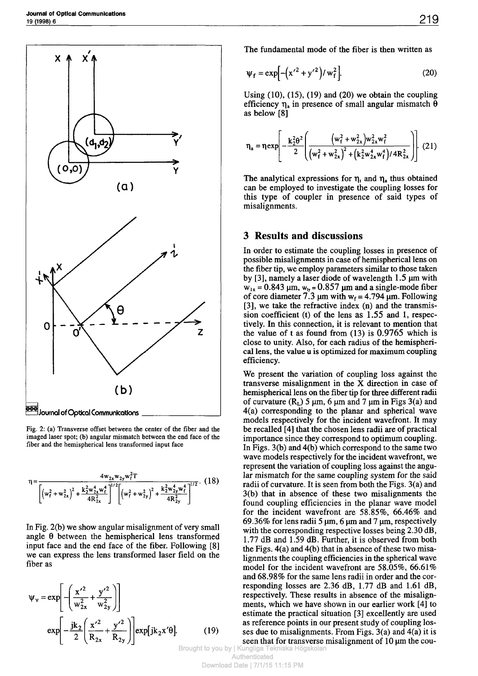

Fig. 2: (a) Transverse offset between the center of the fiber and the imaged laser spot; (b) angular mismatch between the end face of the fiber and the hemispherical lens transformed input face

$$
\eta = \frac{4w_{2x}w_{2y}w_f^2 T}{\left[ \left( w_f^2 + w_{2x}^2 \right)^2 + \frac{k_2^2 w_{2x}^4 w_f^4}{4R_{2x}^2} \right]^{1/2} \left[ \left( w_f^2 + w_{2y}^2 \right)^2 + \frac{k_2^2 w_{2y}^4 w_f^4}{4R_{2y}^2} \right]^{1/2}}.
$$
 (18)

In Fig. 2(b) we show angular misalignment of very small angle θ between the hemispherical lens transformed input face and the end face of the fiber. Following [8] we can express the lens transformed laser field on the fiber as

$$
\Psi_{v} = \exp\left[-\left(\frac{x'^2}{w_{2x}^2} + \frac{y'^2}{w_{2y}^2}\right)\right]
$$
  
\n
$$
\exp\left[-\frac{jk_2}{2}\left(\frac{x'^2}{R_{2x}} + \frac{y'^2}{R_{2y}}\right)\right] \exp[jk_2x'0].
$$
 (19)

The fundamental mode of the fiber is then written as

$$
\Psi_{\rm f} = \exp\left[-\left(x'^2 + y'^2\right)/w_{\rm f}^2\right].
$$
 (20)

Using  $(10)$ ,  $(15)$ ,  $(19)$  and  $(20)$  we obtain the coupling efficiency  $η_a$  in presence of small angular mismatch θ as below [8]

$$
\eta_{a} = \eta \exp \left[ -\frac{k_{2}^{2} \theta^{2}}{2} \left( \frac{\left(w_{f}^{2} + w_{2x}^{2}\right) w_{2x}^{2} w_{f}^{2}}{\left(w_{f}^{2} + w_{2x}^{2}\right)^{2} + \left(k_{2}^{2} w_{2x}^{4} w_{f}^{4}\right) / 4 R_{2x}^{2}} \right) \right].
$$
 (21)

The analytical expressions for  $\eta$ , and  $\eta$ , thus obtained can be employed to investigate the coupling losses for this type of coupler in presence of said types of misalignments.

#### **3 Results and discussions**

In order to estimate the coupling losses in presence of possible misalignments in case of hemispherical lens on the fiber tip, we employ parameters similar to those taken by  $[3]$ , namely a laser diode of wavelength 1.5  $\mu$ m with  $w_{1x} = 0.843$  µm,  $w_{1y} = 0.857$  µm and a single-mode fiber of core diameter 7.3  $\mu$ m with w<sub>f</sub> = 4.794  $\mu$ m. Following [3], we take the refractive index (n) and the transmission coefficient (t) of the lens as 1.55 and 1, respectively. In this connection, it is relevant to mention that the value of t as found from (13) is 0.9765 which is close to unity. Also, for each radius of the hemispherical lens, the value u is optimized for maximum coupling efficiency.

We present the variation of coupling loss against the transverse misalignment in the X direction in case of hemispherical lens on the fiber tip for three different radii of curvature  $(R_L)$  5 µm, 6 µm and 7 µm in Figs 3(a) and 4(a) corresponding to the planar and spherical wave models respectively for the incident wavefront. It may be recalled [4] that the chosen lens radii are of practical importance since they correspond to optimum coupling. In Figs. 3(b) and 4(b) which correspond to the same two wave models respectively for the incident wavefront, we represent the variation of coupling loss against the angular mismatch for the same coupling system for the said radii of curvature. It is seen from both the Figs. 3(a) and 3(b) that in absence of these two misalignments the found coupling efficiencies in the planar wave model for the incident wavefront are 58.85%, 66.46% and 69.36% for lens radii 5  $\mu$ m, 6  $\mu$ m and 7  $\mu$ m, respectively with the corresponding respective losses being 2.30 dB, 1.77 dB and 1.59 dB. Further, it is observed from both the Figs. 4(a) and 4(b) that in absence of these two misalignments the coupling efficiencies in the spherical wave model for the incident wavefront are 58.05%, 66.61% and 68.98% for the same lens radii in order and the corresponding losses are 2.36 dB, 1.77 dB and 1.61 dB, respectively. These results in absence of the misalignments, which we have shown in our earlier work [4] to estimate the practical situation [3] excellently are used as reference points in our present study of coupling losses due to misalignments. From Figs. 3(a) and 4(a) it is seen that for transverse misalignment of  $10 \mu m$  the cou-

Brought to you by | Kungliga Tekniska Högsk Authenticated Download Date | 7/1/15 11:15 PM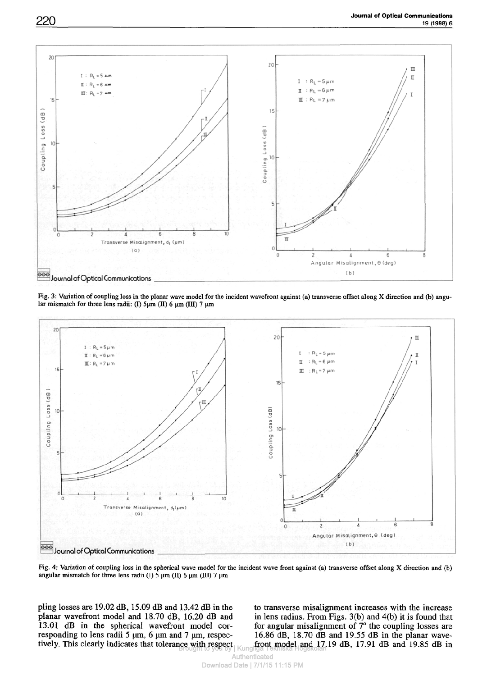

Fig. 3: Variation of coupling loss in the planar wave model for the incident wavefront against (a) transverse offset along X direction and (b) angular mismatch for three lens radii: (I) 5μm (II) 6 μm (III) 7 μm



Fig. 4: Variation of coupling loss in the spherical wave model for the incident wave front against (a) transverse offset along X direction and (b) angular mismatch for three lens radii (I) 5 urn (II) *6* um (ΠΙ) 7 um

pling losses are 19.02 dB, 15.09 dB and 13.42 dB in the planar wavefront model and 18.70 dB, 16.20 dB and 13.01 dB in the spherical wavefront model corresponding to lens radii 5 μm, 6 μm and 7 μm, respectively. This clearly indicates that tolerance with respect front model and 17.<br>Brought to you by | Kungliga Tekniska Högskolan

to transverse misalignment increases with the increase in lens radius. From Figs. 3(b) and 4(b) it is found that for angular misalignment of 7° the coupling losses are 16.86 dB, 18.70 dB and 19.55 dB in the planar wavefront model and 17.19 dB, 17.9l dB and 19.85 dB in